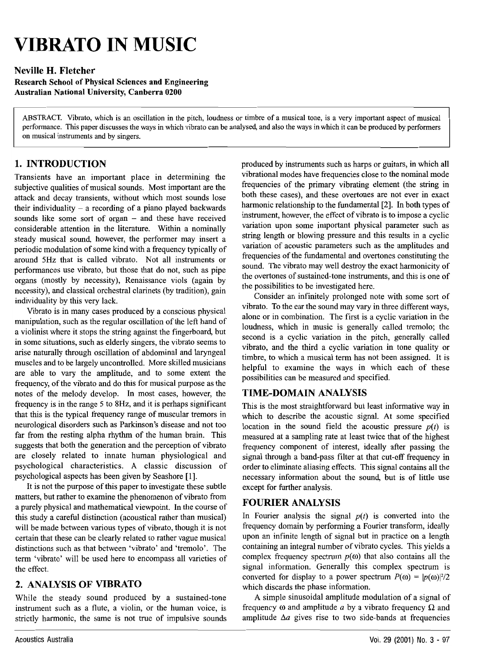# **VIBRATO IN MUSIC**

## Neville H. Fletcher

 Research School of Physical Sciences and Engineering Australian National University, Canberra 0200

ABSTRACT. Vibrato, which is an oscillation in the nitch. loudness or timbre of a musical tone, is a very important aspect of musical next control. This paper discusses the ways in which vibrato can be analysed, and also the ways in which it can be produced by performers on musical instruments and by singers.

#### 1. INTRODUCTION

 Transients have an important place in determining the subjective qualities of musical sounds. Most important are the attack and decay transients, without which most sounds lose their individuality  $-$  a recording of a piano played backwards sounds like some sort of organ - and these have received considerable attention in the literature. Within <sup>a</sup> nominally steady musical sound, however, the performer may insert <sup>a</sup> periodic modulation of some kind with <sup>a</sup> frequency typically of around 5Hz that is called vibrato. Not all instruments or performances use vibrato, but those that do not, such as pipe organs (mostly by necessity), Renaissance viols (again by necessity), and classical orchestral clarinets (by tradition), gain individuality by this very lack.

Vibrato is in many cases produced by a conscious physical manipulation, such as the regular oscillation of the left hand of <sup>a</sup> violinist where it stops the string against the fingerboard, but in some situations, such as elderly singers, the vibrato seems to arise naturally through oscillation of abdominal and laryngeal muscles and to be largely uncontrolled. More skilled musicians are able to vary the amplitude, and to some extent the frequency, of the vibrato and do this for musical purpose as the notes of the melody develop. In most cases, however, the frequency is in the range 5 to 8Hz, and it is perhaps significant that this is the typical frequency range of muscular tremors in neurological disorders such as Parkinson's disease and not too far from the resting alpha rhythm of the human brain. This suggests that both the generation and the perception of vibrato are closely related to innate human physiological and psychological characteristics. A classic discussion of psychological aspects has been given by Seashore [I].

It is not the purpose of this paper to investigate these subtle matters, but rather to examine the phenomenon of vibrato from a nurely physical and mathematical viewpoint. In the course of this study a careful distinction (acoustical rather than musical)<br>will be made between various types of vibrato, though it is not certain that these can be clearly related to rather vague musical distinctions such as that between 'vibrato' and 'tremolo'. Theterm 'vibrato' will be used here to encompass all varieties of the effect,

# 2. ANALYSIS OF VIBRATO

While the steady sound produced by a sustained-ton instrument such as <sup>a</sup> flute, <sup>a</sup> violin, or the human voice, is strictly harmonic, the same is not true of impulsive sounds produced by instruments such as harps or guitars, in which all vibrational modes have frequencies close to the nominal mode frequencies of the primary vibrating element (the string in both these cases), and these overtones are not ever in exact harmonic relationship to the fundamental [2]. In both types of instrument, however, the effect of vibrato is to impose a cyclic variation upon some important physical parameter such as string length or blowing pressure and this results in a cyclic variation of acoustic parameters such as the amplitudes and frequencies of the fundamental and overtones constituting the sound. The vibrato may well destroy the exact harmonicity of the overtones of sustained-tone instruments, and this is one of the possibilities to be investigated here.

Consider an infinitely prolonged note with some sort of vibrato. To the ear the sound may vary in three different ways, alone or in combination. The first is acyclic variation in the loudness, which in music is generally called tremolo; the second is a cyclic variation in the pitch, generally called vibrato, and the third a cyclic variation in tone quality or timbre, to which a musical term has not been assigned. It is helpful to examine the ways in which each of these possibilities can be measured and specified.

#### TIME-DOMAIN ANALYSIS

This is the most straightforward but least informative way in which to describe the acoustic signal. At some specified location in the sound field the acoustic pressure  $p(t)$  is measured at a sampling rate at least twice that of the highes frequency componen<sup>t</sup> of interest, ideally after passing the signal through <sup>a</sup> band-pass filter at that cut-off frequency in order to eliminate aliasing effects. This signal contains all the necessary information about the sound, but is of little use excep<sup>t</sup> for further analysis.

#### FOURIER ANALYSIS

In Fourier analysis the signal  $p(t)$  is converted into the frequency domain by performing <sup>a</sup> Fourier transform, ideally upon an infinite length of signal but in practice on a length containing an integral number of vibrato cycles. This yields <sup>a</sup> complex frequency spectrum  $p(0)$  that also contains all the signal information. Generally this complex spectrum is converted for display to a power spectrum  $P(\omega) = |p(\omega)|^2/2$ which discards the phase information.

A simple sinusoidal amplitude modulation of a signal of frequency  $\omega$  and amplitude  $a$  by a vibrato frequency  $\Omega$  and amplitude  $\Delta a$  gives rise to two side-bands at frequencies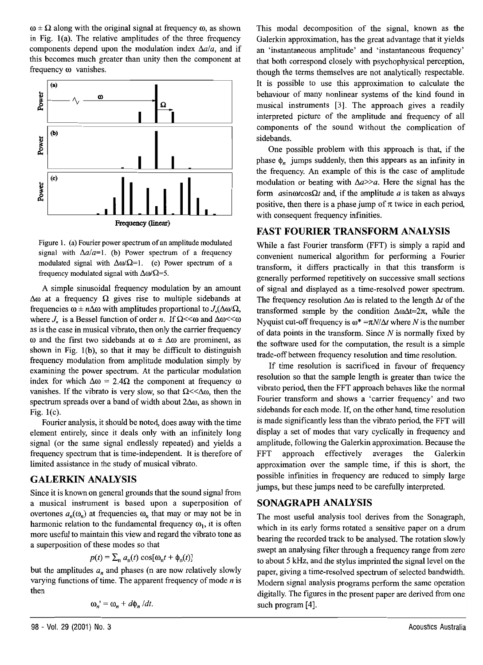$\omega \pm \Omega$  along with the original signal at frequency  $\omega$ , as shown in Fig. 1(a). The relative amplitudes of the three frequency components depend upon the modulation index  $\Delta a/a$ , and if this becomes much greater than unity then the componen<sup>t</sup> at frequency  $\omega$  vanishes.



Figure 1. (a) Fourier power spectrum of an amplitude modulated signal with  $\Delta a/a=1$ . (b) Power spectrum of a frequency modulated signal with  $\Delta \omega \Omega$  = 1. (c) Power spectrum of a frequency modulated signal with  $\Delta \omega / \Omega$ -5.

A simple sinusoidal frequency modulation by an amount  $\Delta \omega$  at a frequency  $\Omega$  gives rise to multiple sidebands at frequencies  $\omega \pm n\Delta\omega$  with amplitudes proportional to  $J_{\rm s}(\Delta\omega\Omega,$ where *J*, is a Bessel function of order *n*. If  $\Omega$  <<  $\omega$  and  $\Delta \omega$  <  $\omega$ as is the case in musical vibrato, then only the carrier frequency  $\omega$  and the first two sidebands at  $\omega \pm \Delta \omega$  are prominent, as shown in Fig. I(b), so that it may be difficult to distinguish frequency modulation from amplitude modulation simply by examining the power spectrum. At the particular modulation index for which  $\Delta \omega = 2.4\Omega$  the component at frequency  $\omega$ vanishes. If the vibrato is very slow, so that  $\Omega \ll \Delta \omega$ , then the spectrum spreads over a band of width about  $2\Delta\omega$ , as shown in Fig.l(c).

Fourier analysis, it should be noted, does away with the time element entirely, since it deals only with an infinitely long signal (or the same signal endlessly repeated) and yields <sup>a</sup> frequency spectrum that is time-independent. It is therefore of limited assistance in the study of musical vibrato.

# **GALERKIN ANALYSIS**

Since it is known on general grounds that the sound signal from <sup>a</sup> musical instrument is based upon <sup>a</sup> superposition of overtones  $a_n(\omega_n)$  at frequencies  $\omega_n$  that may or may not be in harmonic relation to the fundamental frequency  $\omega_1$ , it is often more useful to maintain this view and regard the vibrato tone as <sup>a</sup> superposition of these modes so that

$$
p(t) = \sum_{n} a_n(t) \cos[\omega_n t + \phi_n(t)]
$$

but the amplitudes  $a_n$  and phases (n are now relatively slowly varying functions of time. The apparent frequency of mode  $n$  is then

$$
\omega_n' = \omega_n + d\phi_n/dt.
$$

98-VoI.29(2001) NO.3

This modal decomposition of the signal, known as the Galerkin approximation, has the great advantage that it yields an 'instantaneous amplitude' and 'instantaneous frequency' that both correspond closely with psychophysical perception, though the terms themselves are not analytically respectable. It is possible to use this approximation to calculate the behaviour of many nonlinear systems of the kind found in musical instruments [3]. The approach gives <sup>a</sup> readily interpreted picture of the amplitude and frequency of all components of the sound without the complication of sidebands.

One possible problem with this approach is that, if the phase  $\phi$ , jumps suddenly, then this appears as an infinity in the frequency. An example of this is the case of amplitude modulation or beating with *Sa»>«.* Here the signal has the form  $a$ sin $\omega$ *cos* $\Omega$ *t* and, if the amplitude  $a$  is taken as always positive, then there is a phase jump of  $\pi$  twice in each period, with consequen<sup>t</sup> frequency infinities.

#### **FAST FOURIER TRANSFORM ANALYSIS**

While <sup>a</sup> fast Fourier transform (FFT) is simply <sup>a</sup> rapid and convenient numerical algorithm for performing <sup>a</sup> Fourier transform, it differs practically in that this transform is generally performed repetitively on successive small sections of signal and displayed as <sup>a</sup> time-resolved power spectrum. The frequency resolution  $\Delta\omega$  is related to the length  $\Delta t$  of the transformed sample by the condition  $\Delta \omega \Delta t = 2\pi$ , while the Nyquist cut-off frequency is  $\omega^* = \pi N/\Delta t$  where N is the number of data points in the transform. Since  $N$  is normally fixed by the software used for the computation, the result is <sup>a</sup> simple trade-off between frequency resolution and time resolution.

If time resolution is sacrificed in favour of frequency resolution so that the sample length is greater than twice the vibrato period, then the FFT approach behaves like the normal Fourier transform and shows <sup>a</sup> 'carrier frequency' and two sidebands for each mode. If, on the other hand, time resolution is made significantly less than the vibrato period, the FFT will display a set of modes that vary cyclically in frequency and amplitude, following the Galerkin approximation. Because the FFT approach effectively averages the Galerkin approximation over the sample time, if this is short, the possible infinities in frequency are reduced to simply large jumps, but these jumps need to be earefully interpreted.

# **SONAGRAPH ANALYSIS**

The most useful analysis tool derives from the Sonagraph, which in its early forms rotated <sup>a</sup> sensitive paper on <sup>a</sup> drum bearing the recorded track to be analysed. The rotation slowly swep<sup>t</sup> an analysing filter through <sup>a</sup> frequency range from zero to about 5 kHz, and the stylus imprinted the signal level on the paper, giving a time-resolved spectrum of selected bandwidth. Modern signal analysis programs perform the same operation digitally. The figures in the presen<sup>t</sup> paper are derived from one such program [4].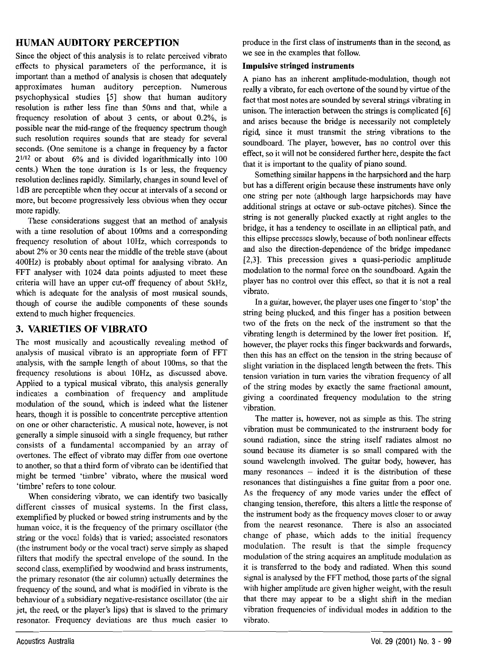## **HUMAN AUDITORY PERCEPTION**

Since the object of this analysis is to relate perceived vibrato effects to physical parameters of the performance, it is important than a method of analysis is chosen that adequately annroximates human auditory nercention Numerous psychophysical studies [5] show that human auditory resolution is rather less fine than 50ms and that while a frequency resolution of about 3 cents, or about 0.2%, is possible near the mid-range of the frequency spectrum though such resolution requires sounds that are steady for several seconds. (One semitone is a change in frequency by a factor 2<sup>1/12</sup> or about 6% and is divided logarithmically into 100 cents.) When the tone duration is 1s or less, the frequency resolution declines rapidly. Similarly, changes in sound level of 1dB are perceptible when they occur at intervals of a second or more, but become progressively less obvious when they occur more rapidly.

These considerations suggest that an method of analysis with a time resolution of about 100ms and a corresponding frequency resolution of about 10Hz, which corresponds to about 2% or 30 cents near the middle of the treble stave (about 400Hz) is probably about optimal for analysing vibrato. An FFT analyser with 1024 data points adjusted to meet these criteria will have an upper cut-off frequency of about 5kHz. which is adequate for the analysis of most musical sounds. though of course the audible components of these sounds extend to much higher frequencies.

# 3. VARIETIES OF VIBRATO

The most musically and acoustically revealing method of analysis of musical vibrato is an appropriate form of FFT analysis, with the sample length of about 100ms, so that the frequency resolutions is about 10Hz, as discussed above. Anplied to a typical musical vibrato, this analysis generally indicates a combination of frequency and amplitude modulation of the sound, which is indeed what the listener hears, though it is possible to concentrate perceptive attention on one or other characteristic. A musical note, however, is not generally a simple sinusoid with a single frequency, but rather consists of a fundamental accompanied by an array of overtones. The effect of vibrato may differ from one overtone to another, so that a third form of vibrato can be identified that might be termed 'timbre' vibrato, where the musical word 'timbre' refers to tone colour.

When considering vibrato, we can identify two basically different classes of musical systems. In the first class, exemplified by plucked or bowed string instruments and by the human voice, it is the frequency of the primary oscillator (the string or the vocal folds) that is varied; associated resonators (the instrument body or the vocal tract) serve simply as shaped filters that modify the spectral envelope of the sound. In the second class, exemplified by woodwind and brass instruments. the primary resonator (the air column) actually determines the frequency of the sound, and what is modified in vibrato is the behaviour of a subsidiary negative-resistance oscillator (the air et, the reed, or the player's lips) that is slaved to the primary resonator. Frequency deviations are thus much easier to produce in the first class of instruments than in the second as we see in the examples that follow

#### **Impulsive stringed instruments**

A piano has an inherent amplitude-modulation, though not really a vibrato, for each overtone of the sound by virtue of the fact that most notes are sounded by several strings vibrating in unison. The interaction between the strings is complicated [6] and arises because the bridge is necessarily not completely rigid since it must transmit the string vibrations to the coundboard. The player however has no control over this effect, so it will not be considered further here, desnite the fact that it is important to the quality of piano sound.

Something similar happens in the harpsichord and the harp but has a different origin because these instruments have only one string per note (although large harpsichords may have additional strings at octave or sub-octave nitches). Since the string is not generally plucked exactly at right angles to the bridge, it has a tendency to oscillate in an elliptical path, and this ellinse precesses slowly, because of both nonlinear effects and also the direction-dependence of the bridge impedance [2.3]. This precession gives a quasi-periodic amplitude modulation to the normal force on the soundboard. Again the player has no control over this effect so that it is not a real vibento

In a guitar, however, the player uses one finger to 'stop' the string being plucked, and this finger has a position between two of the frets on the neck of the instrument so that the vibrating length is determined by the lower fret position. If. however, the player rocks this finger backwards and forwards, then this has an effect on the tension in the string because of slight variation in the displaced length between the frets. This tension variation in turn varies the vibration frequency of all of the string modes by exactly the same fractional amount. giving a coordinated frequency modulation to the string vibration

The matter is, however, not as simple as this. The string vibration must be communicated to the instrument body for sound radiation, since the string itself radiates almost no sound because its diameter is so small compared with the sound wavelength involved. The guitar body, however, has many resonances - indeed it is the distribution of these resonances that distinguishes a fine guitar from a poor one. As the frequency of any mode varies under the effect of changing tension, therefore, this alters a little the response of the instrument body as the frequency moves closer to or away from the nearest resonance. There is also an associated change of phase, which adds to the initial frequency modulation. The result is that the simple frequency modulation of the string acquires an amplitude modulation as it is transferred to the body and radiated. When this sound signal is analysed by the FFT method, those parts of the signal with higher amplitude are given higher weight, with the result that there may appear to be a slight shift in the median vibration frequencies of individual modes in addition to the vibrato.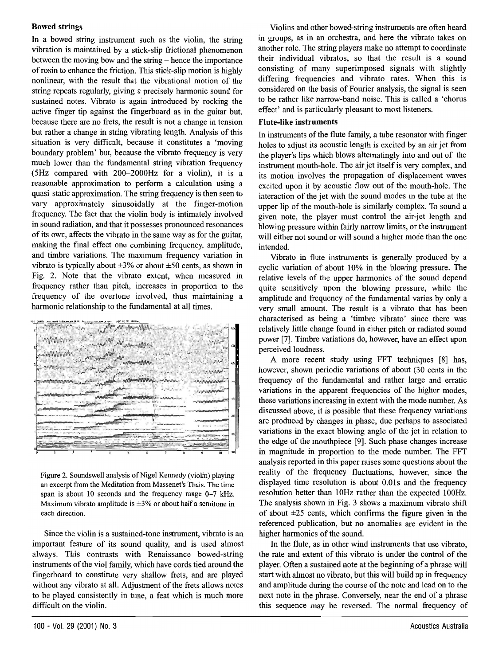## **Bowed strings**

In a bowed string instrument such as the violin, the string vibration is maintained by a stick-slip frictional phenomenon between the moving bow and the string - hence the importance of rosin to enhance the friction. This stick-slip motion is highly nonlinear, with the result that the vibrational motion of the string repeats regularly, giving a precisely harmonic sound for sustained notes. Vibrato is again introduced by rocking the active finger tip against the fingerboard as in the guitar but, because there are no frets, the result is not a change in tension but rather a change in string vibrating length. Analysis of this situation is very difficult, because it constitutes a 'moving boundary problem' but, because the vibrato frequency is very much lower than the fundamental string vibration frequency (5Hz compared with 200-2000Hz for a violin), it is a reasonable approximation to perform a calculation using a quasi-static approximation. The string frequency is then seen to vary approximately sinusoidally at the finger-motion frequency. The fact that the violin body is intimately involved in sound radiation, and that it possesses pronounced resonances of its own, affects the vibrato in the same way as for the guitar, making the final effect one combining frequency, amplitude, and timbre variations. The maximum frequency variation in vibrato is typically about  $\pm 3\%$  or about  $\pm 50$  cents, as shown in Fig. 2. Note that the vibrato extent, when measured in frequency rather than pitch, increases in proportion to the frequency of the overtone involved, thus maintaining a harmonic relationship to the fundamental at all times.



Figure 2. Soundswell analysis of Nigel Kennedy (violin) playing an excerpt from the Meditation from Massenet's Thais. The time span is about 10 seconds and the frequency range 0-7 kHz. Maximum vibrato amplitude is  $\pm 3\%$  or about half a semitone in each direction.

Since the violin is a sustained-tone instrument, vibrato is an important feature of its sound quality, and is used almost always. This contrasts with Renaissance bowed-string instruments of the viol family, which have cords tied around the fingerboard to constitute very shallow frets, and are played without any vibrato at all. Adjustment of the frets allows notes to be played consistently in tune, a feat which is much more difficult on the violin.

Violins and other bowed-string instruments are often heard in groups, as in an orchestra, and here the vibrato takes on another role. The string players make no attempt to coordinate their individual vibratos, so that the result is a sound consisting of many superimposed signals with slightly differing frequencies and vibrato rates. When this is considered on the basis of Fourier analysis, the signal is seen to be rather like narrow-band noise. This is called a 'chorus effect' and is particularly pleasant to most listeners.

#### **Flute-like instruments**

In instruments of the flute family, a tube resonator with finger holes to adjust its acoustic length is excited by an air jet from the player's lips which blows alternatingly into and out of the instrument mouth-hole. The air jet itself is very complex, and its motion involves the propagation of displacement waves excited upon it by acoustic flow out of the mouth-hole. The interaction of the jet with the sound modes in the tube at the upper lip of the mouth-hole is similarly complex. To sound a given note, the player must control the air-jet length and blowing pressure within fairly narrow limits, or the instrument will either not sound or will sound a higher mode than the one intended.

Vibrato in flute instruments is generally produced by a cyclic variation of about 10% in the blowing pressure. The relative levels of the upper harmonics of the sound depend quite sensitively upon the blowing pressure, while the amplitude and frequency of the fundamental varies by only a very small amount. The result is a vibrato that has been characterised as being a 'timbre vibrato' since there was relatively little change found in either pitch or radiated sound power [7]. Timbre variations do, however, have an effect upon perceived loudness.

A more recent study using FFT techniques [8] has, however, shown periodic variations of about (30 cents in the frequency of the fundamental and rather large and erratic variations in the apparent frequencies of the higher modes, these variations increasing in extent with the mode number. As discussed above, it is possible that these frequency variations are produced by changes in phase, due perhaps to associated variations in the exact blowing angle of the jet in relation to the edge of the mouthpiece [9]. Such phase changes increase in magnitude in proportion to the mode number. The FFT analysis reported in this paper raises some questions about the reality of the frequency fluctuations, however, since the displayed time resolution is about 0.01s and the frequency resolution better than 10Hz rather than the expected 100Hz. The analysis shown in Fig. 3 shows a maximum vibrato shift of about  $\pm 25$  cents, which confirms the figure given in the referenced publication, but no anomalies are evident in the higher harmonics of the sound.

In the flute, as in other wind instruments that use vibrato, the rate and extent of this vibrato is under the control of the player. Often a sustained note at the beginning of a phrase will start with almost no vibrato, but this will build up in frequency and amplitude during the course of the note and lead on to the next note in the phrase. Conversely, near the end of a phrase this sequence may be reversed. The normal frequency of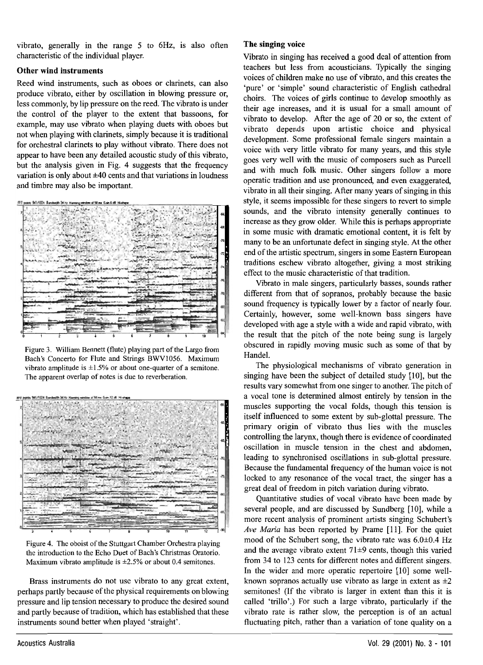vibrato generally in the range 5 to 6Hz is also often characteristic of the individual player.

#### Other wind instruments

Reed wind instruments, such as oboes or clarinets, can also produce vibrato, either by oscillation in blowing pressure or. less commonly, by lip pressure on the reed. The vibrato is under the control of the player to the extent that bassoons, for example, may use vibrato when playing duets with oboes but not when playing with clarinets, simply because it is traditional for orchestral clarinets to play without vibrato. There does not appear to have been any detailed acoustic study of this vibrato. but the analysis given in Fig. 4 suggests that the frequency variation is only shout +40 cents and that variations in loudness and timbre may also be important.

**Come Strings Exchange String Street, and** 



Figure 3. William Bennett (flute) playing part of the Largo from Bach's Concerto for Flute and Strings BWV1056. Maximum  $v$  of  $v$  of  $v$  and  $v$  and  $v$  and  $v$  are  $v$  and  $v$  are  $v$  as  $v$  and  $v$  and  $v$  and  $v$  and  $v$  and  $v$  and  $v$  and  $v$  and  $v$  and  $v$  and  $v$  and  $v$  and  $v$  and  $v$  and  $v$  and  $v$  and  $v$  and  $v$  and  $v$  and The apparent overlap of notes is due to reverberation.



Figure 4. The oboist of the Stuttgart Chamber Orchestra playing the introduction to the Echo Duet of Bach's Christmas Oratorio. Maximum vibrato amplitude is  $\pm 2.5\%$  or about 0.4 semitones.

Brass instruments do not use vibrato to any great extent. perhaps partly because of the physical requirements on blowing pressure and lip tension necessary to produce the desired sound and partly because of tradition, which has established that these instruments sound better when played 'straight'.

#### The singing voice

Vibrato in singing has received a good deal of attention from teachers but less from acousticians. Typically the singing voices of children make no use of vibrato, and this creates the 'nure' or 'cimple' sound characteristic of English cathedral choirs. The voices of girls continue to develop smoothly as their age increases and it is usual for a small amount of vibrato to develop. After the age of 20 or so, the extent of vibrato depends upon artistic choice and physical development. Some professional female singers maintain a voice with very little vibrato for many years, and this style goes very well with the music of composers such as Purcell and with much folk music. Other singers follow a more operatic tradition and use pronounced, and even exaggerated vibrato in all their singing. After many years of singing in this style it seems impossible for these singers to revert to simple sounds, and the vibrato intensity generally continues to increase as they grow older. While this is perhaps appropriate in some music with dramatic emotional content it is felt by many to be an unfortunate defect in singing style. At the other end of the artistic spectrum, singers in some Eastern European traditions eschew vibrato altogether giving a most striking effect to the music characteristic of that tradition.

Vibrato in male singers, particularly basses, sounds rather different from that of sopranos, probably because the basic sound frequency is typically lower by a factor of nearly four. Certainly, however, some well-known bass singers have developed with age a style with a wide and rapid vibrato, with the result that the pitch of the note being sung is largely obscured in rapidly moving music such as some of that by Handel.

The physiological mechanisms of vibrato generation in singing have been the subject of detailed study [10], but the results vary somewhat from one singer to another. The nitch of a vocal tone is determined almost entirely by tension in the muscles supporting the vocal folds, though this tension is itself influenced to some extent by sub-glottal pressure. The primary origin of vibrato thus lies with the muscles controlling the larynx, though there is evidence of coordinated oscillation in muscle tension in the chest and abdomen leading to synchronised oscillations in sub-glottal pressure. Because the fundamental frequency of the human voice is not locked to any resonance of the vocal tract, the singer has a great deal of freedom in pitch variation during vibrato.

Ouantitative studies of vocal vibrato have been made by several people, and are discussed by Sundberg [10], while a more recent analysis of prominent artists singing Schubert's Ave Maria has been reported by Prame [11]. For the quiet mood of the Schubert song, the vibrato rate was 6.0±0.4 Hz and the average vibrato extent  $71\pm9$  cents, though this varied from 34 to 123 cents for different notes and different singers. In the wider and more operatic repertoire [10] some wellknown sopranos actually use vibrato as large in extent as  $\pm 2$ semitones! (If the vibrato is larger in extent than this it is called 'trillo'.) For such a large vibrato, particularly if the vibrato rate is rather slow, the perception is of an actual fluctuating pitch, rather than a variation of tone quality on a